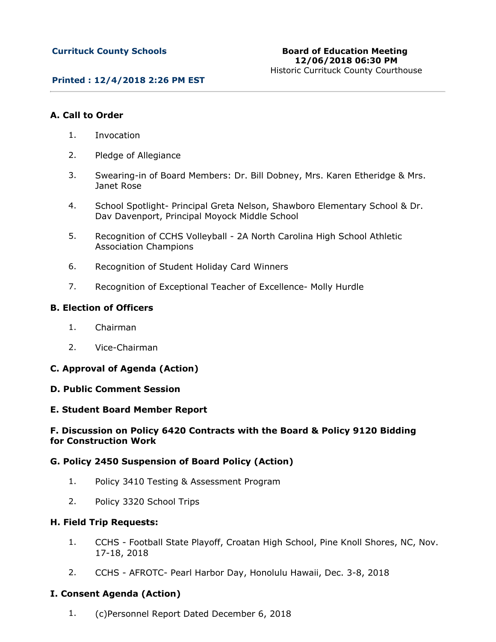## **Printed : 12/4/2018 2:26 PM EST**

## **A. Call to Order**

- 1. Invocation
- 2. Pledge of Allegiance
- 3. Swearing-in of Board Members: Dr. Bill Dobney, Mrs. Karen Etheridge & Mrs. Janet Rose
- 4. School Spotlight- Principal Greta Nelson, Shawboro Elementary School & Dr. Dav Davenport, Principal Moyock Middle School
- 5. Recognition of CCHS Volleyball 2A North Carolina High School Athletic Association Champions
- 6. Recognition of Student Holiday Card Winners
- 7. Recognition of Exceptional Teacher of Excellence- Molly Hurdle

## **B. Election of Officers**

- 1. Chairman
- 2. Vice-Chairman

## **C. Approval of Agenda (Action)**

### **D. Public Comment Session**

### **E. Student Board Member Report**

## **F. Discussion on Policy 6420 Contracts with the Board & Policy 9120 Bidding for Construction Work**

### **G. Policy 2450 Suspension of Board Policy (Action)**

- 1. Policy 3410 Testing & Assessment Program
- 2. Policy 3320 School Trips

### **H. Field Trip Requests:**

- 1. CCHS Football State Playoff, Croatan High School, Pine Knoll Shores, NC, Nov. 17-18, 2018
- 2. CCHS AFROTC- Pearl Harbor Day, Honolulu Hawaii, Dec. 3-8, 2018

### **I. Consent Agenda (Action)**

1. (c)Personnel Report Dated December 6, 2018